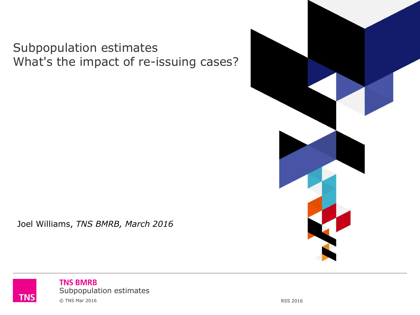#### Subpopulation estimates What's the impact of re-issuing cases?



Joel Williams, *TNS BMRB, March 2016*

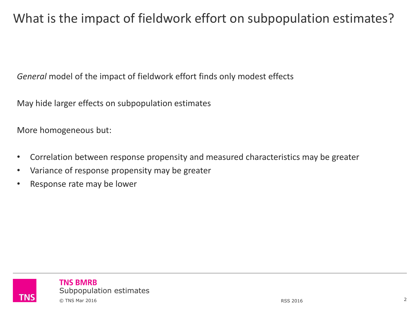## What is the impact of fieldwork effort on subpopulation estimates?

*General* model of the impact of fieldwork effort finds only modest effects

May hide larger effects on subpopulation estimates

More homogeneous but:

- Correlation between response propensity and measured characteristics may be greater
- Variance of response propensity may be greater
- Response rate may be lower

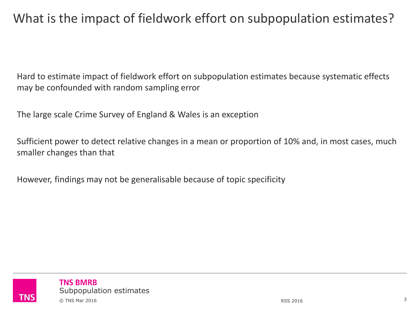# What is the impact of fieldwork effort on subpopulation estimates?

Hard to estimate impact of fieldwork effort on subpopulation estimates because systematic effects may be confounded with random sampling error

The large scale Crime Survey of England & Wales is an exception

Sufficient power to detect relative changes in a mean or proportion of 10% and, in most cases, much smaller changes than that

However, findings may not be generalisable because of topic specificity

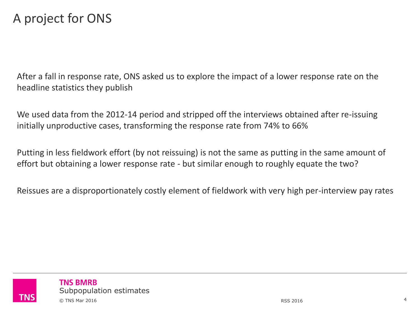### A project for ONS

After a fall in response rate, ONS asked us to explore the impact of a lower response rate on the headline statistics they publish

We used data from the 2012-14 period and stripped off the interviews obtained after re-issuing initially unproductive cases, transforming the response rate from 74% to 66%

Putting in less fieldwork effort (by not reissuing) is not the same as putting in the same amount of effort but obtaining a lower response rate - but similar enough to roughly equate the two?

Reissues are a disproportionately costly element of fieldwork with very high per-interview pay rates

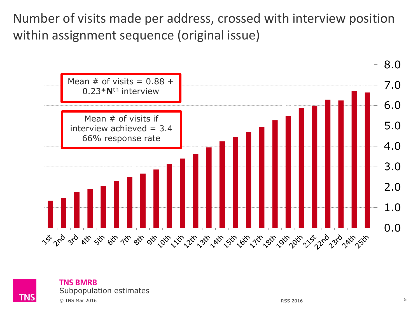Number of visits made per address, crossed with interview position within assignment sequence (original issue)





TNS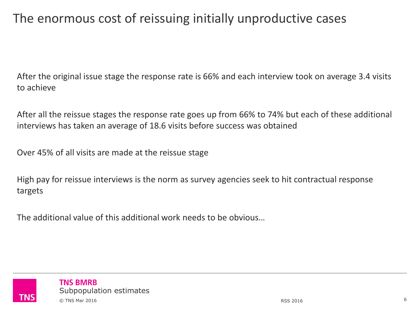# The enormous cost of reissuing initially unproductive cases

After the original issue stage the response rate is 66% and each interview took on average 3.4 visits to achieve

After all the reissue stages the response rate goes up from 66% to 74% but each of these additional interviews has taken an average of 18.6 visits before success was obtained

Over 45% of all visits are made at the reissue stage

High pay for reissue interviews is the norm as survey agencies seek to hit contractual response targets

The additional value of this additional work needs to be obvious…

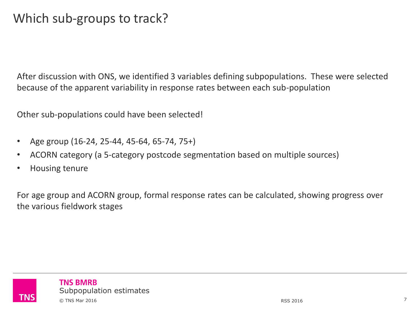### Which sub-groups to track?

After discussion with ONS, we identified 3 variables defining subpopulations. These were selected because of the apparent variability in response rates between each sub-population

Other sub-populations could have been selected!

- Age group (16-24, 25-44, 45-64, 65-74, 75+)
- ACORN category (a 5-category postcode segmentation based on multiple sources)
- Housing tenure

For age group and ACORN group, formal response rates can be calculated, showing progress over the various fieldwork stages

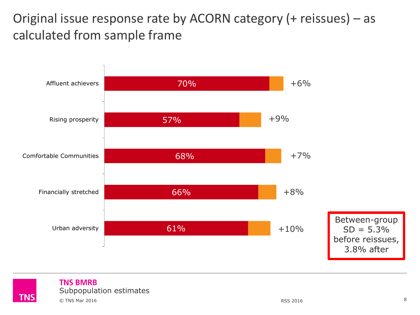Original issue response rate by ACORN category (+ reissues) – as calculated from sample frame



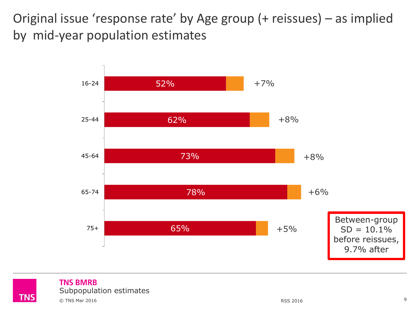Original issue 'response rate' by Age group (+ reissues) – as implied by mid-year population estimates





#### **TNS BMRB** Subpopulation estimates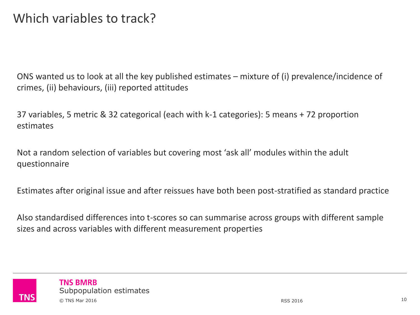ONS wanted us to look at all the key published estimates – mixture of (i) prevalence/incidence of crimes, (ii) behaviours, (iii) reported attitudes

37 variables, 5 metric & 32 categorical (each with k-1 categories): 5 means + 72 proportion estimates

Not a random selection of variables but covering most 'ask all' modules within the adult questionnaire

Estimates after original issue and after reissues have both been post-stratified as standard practice

Also standardised differences into t-scores so can summarise across groups with different sample sizes and across variables with different measurement properties

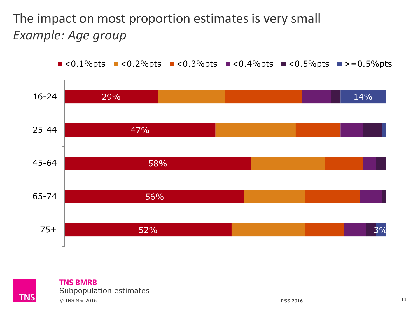# The impact on most proportion estimates is very small *Example: Age group*



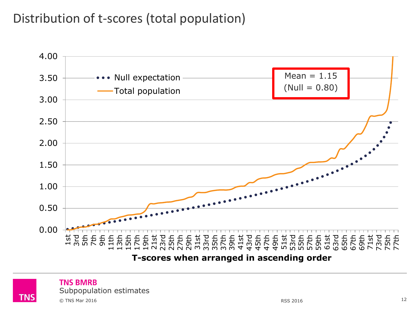# Distribution of t-scores (total population)



**T-scores when arranged in ascending order**



#### **TNS BMRB**

Subpopulation estimates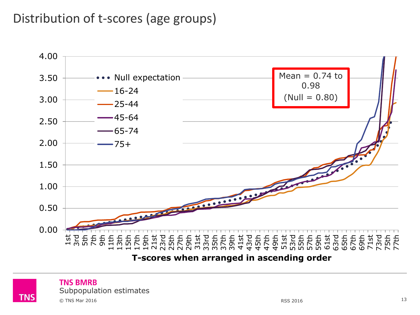#### Distribution of t-scores (age groups)



**T-scores when arranged in ascending order**



#### **TNS BMRB**

Subpopulation estimates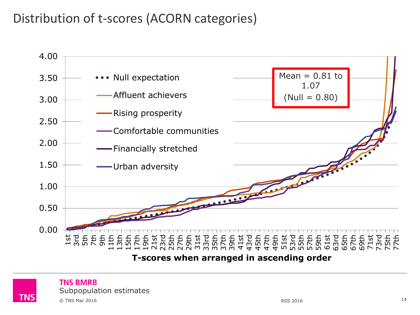# Distribution of t-scores (ACORN categories)



**T-scores when arranged in ascending order**



#### **TNS BMRB**

Subpopulation estimates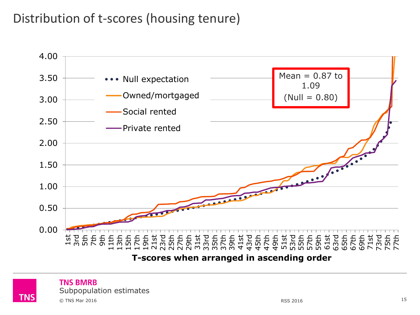### Distribution of t-scores (housing tenure)



**T-scores when arranged in ascending order**



#### **TNS BMRB**

Subpopulation estimates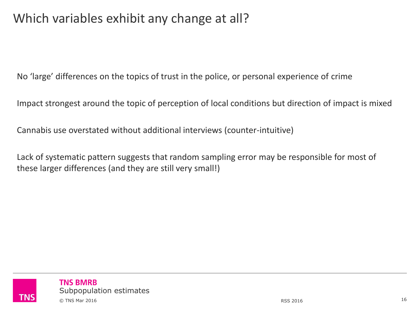# Which variables exhibit any change at all?

No 'large' differences on the topics of trust in the police, or personal experience of crime

Impact strongest around the topic of perception of local conditions but direction of impact is mixed

Cannabis use overstated without additional interviews (counter-intuitive)

Lack of systematic pattern suggests that random sampling error may be responsible for most of these larger differences (and they are still very small!)